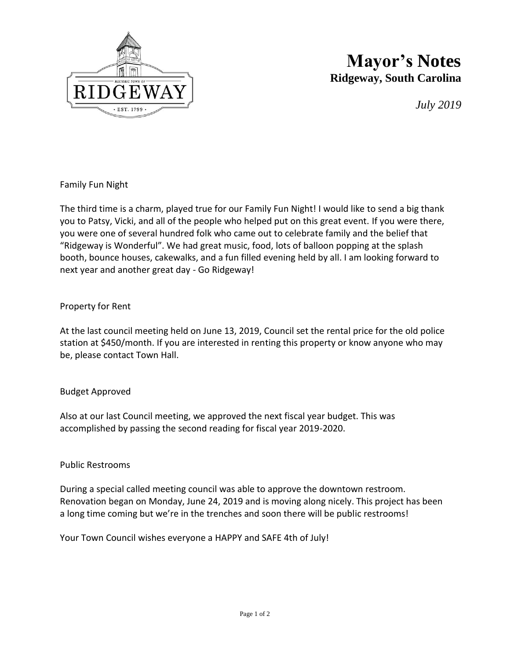

# **Mayor's Notes Ridgeway, South Carolina**

*July 2019*

## Family Fun Night

The third time is a charm, played true for our Family Fun Night! I would like to send a big thank you to Patsy, Vicki, and all of the people who helped put on this great event. If you were there, you were one of several hundred folk who came out to celebrate family and the belief that "Ridgeway is Wonderful". We had great music, food, lots of balloon popping at the splash booth, bounce houses, cakewalks, and a fun filled evening held by all. I am looking forward to next year and another great day - Go Ridgeway!

### Property for Rent

At the last council meeting held on June 13, 2019, Council set the rental price for the old police station at \$450/month. If you are interested in renting this property or know anyone who may be, please contact Town Hall.

### Budget Approved

Also at our last Council meeting, we approved the next fiscal year budget. This was accomplished by passing the second reading for fiscal year 2019-2020.

### Public Restrooms

During a special called meeting council was able to approve the downtown restroom. Renovation began on Monday, June 24, 2019 and is moving along nicely. This project has been a long time coming but we're in the trenches and soon there will be public restrooms!

Your Town Council wishes everyone a HAPPY and SAFE 4th of July!